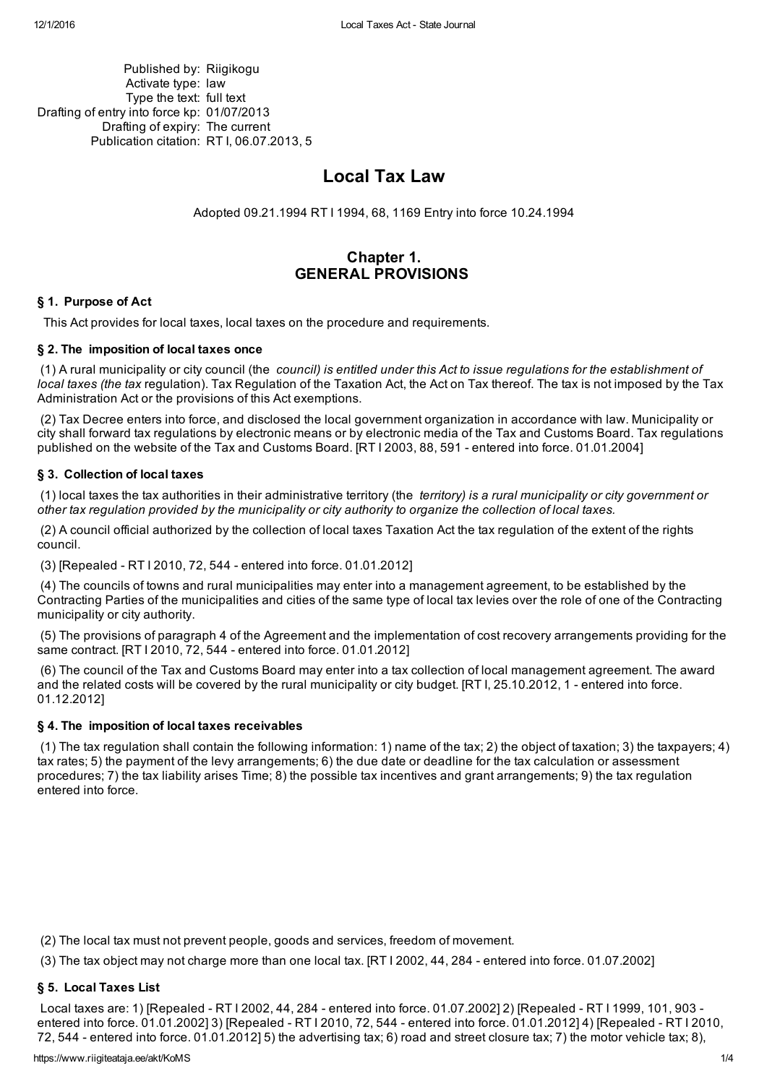Published by: Riigikogu Activate type: law Type the text: full text Drafting of entry into force kp: 01/07/2013 Drafting of expiry: The current Publication citation: RT I, 06.07.2013, 5

# Local Tax Law

Adopted 09.21.1994 RT I [1994,](https://www.riigiteataja.ee/akt/33708) 68, 1169 Entry into force 10.24.1994

## Chapter 1. GENERAL PROVISIONS

## § 1. Purpose of Act

This Act provides for local taxes, local taxes on the procedure and requirements.

## § 2. The imposition of local taxes once

(1) A rural municipality or city council (the *council) is entitled under this Act to issue regulations for the establishment of local taxes (the tax* regulation). Tax Regulation of the Taxation Act, the Act on Tax thereof. The tax is not imposed by the Tax Administration Act or the provisions of this Act exemptions.

(2) Tax Decree enters into force, and disclosed the local government organization in accordance with law. Municipality or city shall forward tax regulations by electronic means or by electronic media of the Tax and Customs Board. Tax regulations published on the website of the Tax and Customs Board. [RT I 2003, 88, 591 - entered into force. 01.01.2004]

## § 3. Collection of local taxes

(1) local taxes the tax authorities in their administrative territory (the *territory) is a rural municipality or city government or* other tax regulation provided by the municipality or city authority to organize the collection of local taxes.

(2) A council official authorized by the collection of local taxes Taxation Act the tax regulation of the extent of the rights council.

(3) [Repealed RT I [2010,](https://www.riigiteataja.ee/akt/13361503) 72, 544 entered into force. 01.01.2012]

(4) The councils of towns and rural municipalities may enter into a management agreement, to be established by the Contracting Parties of the municipalities and cities of the same type of local tax levies over the role of one of the Contracting municipality or city authority.

(5) The provisions of paragraph 4 of the Agreement and the implementation of cost recovery arrangements providing for the same contract. [RT I 2010, 72, 544 entered into force. 01.01.2012]

(6) The council of the Tax and Customs Board may enter into a tax collection of local management agreement. The award and the related costs will be covered by the rural municipality or city budget. [RT I, 25.10.2012, 1 - entered into force. 01.12.2012]

## § 4. The imposition of local taxes receivables

(1) The tax regulation shall contain the following information: 1) name of the tax; 2) the object of taxation; 3) the taxpayers; 4) tax rates; 5) the payment of the levy arrangements; 6) the due date or deadline for the tax calculation or assessment procedures; 7) the tax liability arises Time; 8) the possible tax incentives and grant arrangements; 9) the tax regulation entered into force.

(2) The local tax must not prevent people, goods and services, freedom of movement.

(3) The tax object may not charge more than one local tax. [RT I 2002, 44, 284 entered into force. 01.07.2002]

## § 5. Local Taxes List

Local taxes are: 1) [Repealed - RT I [2002,](https://www.riigiteataja.ee/akt/110025) 44, 284 - entered into force. 01.07.2002] 2) [Repealed - RT I [1999,](https://www.riigiteataja.ee/akt/78069) 101, 903 -entered into force. 01.01.2002] 3) [Repealed - RT I [2010,](https://www.riigiteataja.ee/akt/13361503) 72, 544 - entered into force. [01.01.2012\]](https://www.riigiteataja.ee/akt/13361503) 4) [Repealed - RT I 2010, 72, 544 - entered into force. 01.01.2012] 5) the advertising tax; 6) road and street closure tax; 7) the motor vehicle tax; 8),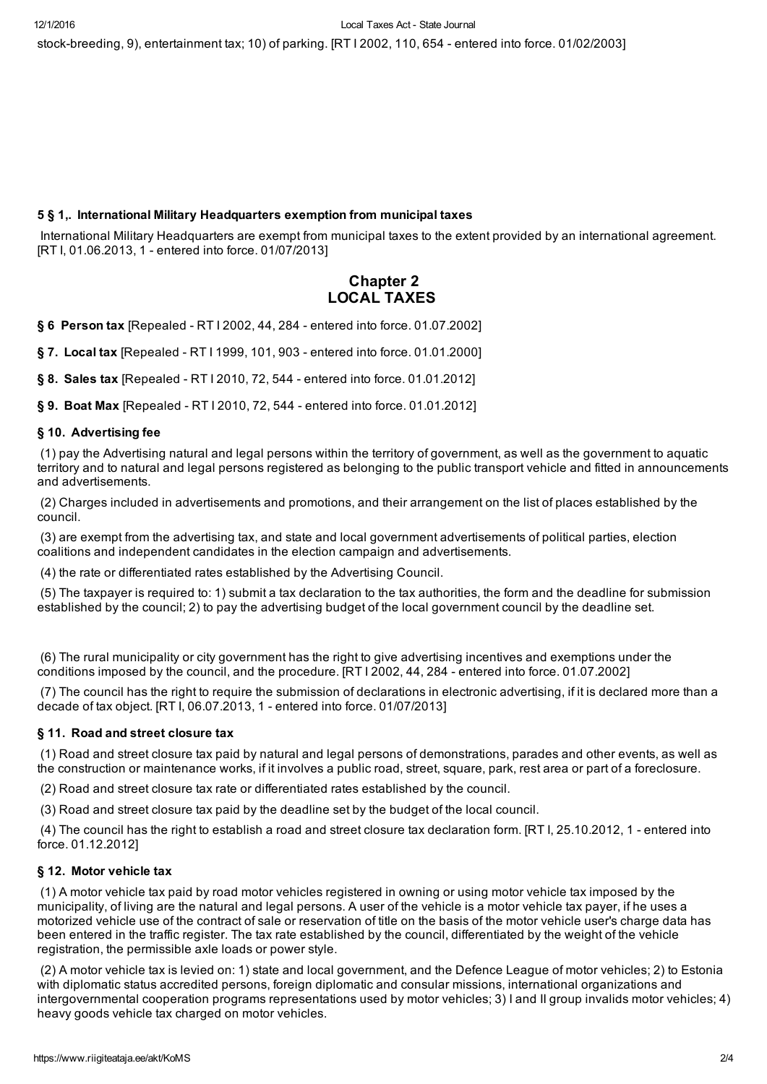stock-breeding, 9), entertainment tax; 10) of parking. [RT I 2002, 110, 654 - entered into force. 01/02/2003]

## 5 § 1,. International Military Headquarters exemption from municipal taxes

International Military Headquarters are exempt from municipal taxes to the extent provided by an international agreement. [RT I, 01.06.2013, 1 - entered into force. 01/07/2013]

## Chapter 2 LOCAL TAXES

§ 6 Person tax [Repealed - RT I [2002,](https://www.riigiteataja.ee/akt/110025) 44, 284 - entered into force. 01.07.2002]

§ 7. Local tax [Repealed - RT I [1999,](https://www.riigiteataja.ee/akt/78069) 101, 903 - entered into force. 01.01.2000]

§ 8. Sales tax [Repealed - RT I [2010,](https://www.riigiteataja.ee/akt/13361503) 72, 544 - entered into force. 01.01.2012]

§ 9. Boat Max [Repealed - RT I [2010,](https://www.riigiteataja.ee/akt/13361503) 72, 544 - entered into force. 01.01.2012]

## § 10. Advertising fee

(1) pay the Advertising natural and legal persons within the territory of government, as well as the government to aquatic territory and to natural and legal persons registered as belonging to the public transport vehicle and fitted in announcements and advertisements.

(2) Charges included in advertisements and promotions, and their arrangement on the list of places established by the council.

(3) are exempt from the advertising tax, and state and local government advertisements of political parties, election coalitions and independent candidates in the election campaign and advertisements.

(4) the rate or differentiated rates established by the Advertising Council.

(5) The taxpayer is required to: 1) submit a tax declaration to the tax authorities, the form and the deadline for submission established by the council; 2) to pay the advertising budget of the local government council by the deadline set.

(6) The rural municipality or city government has the right to give advertising incentives and exemptions under the conditions imposed by the council, and the procedure. [RT I 2002, 44, 284 entered into force. 01.07.2002]

(7) The council has the right to require the submission of declarations in electronic advertising, if it is declared more than a decade of tax object. [RT I, 06.07.2013, 1 entered into force. 01/07/2013]

## § 11. Road and street closure tax

(1) Road and street closure tax paid by natural and legal persons of demonstrations, parades and other events, as well as the construction or maintenance works, if it involves a public road, street, square, park, rest area or part of a foreclosure.

(2) Road and street closure tax rate or differentiated rates established by the council.

(3) Road and street closure tax paid by the deadline set by the budget of the local council.

(4) The council has the right to establish a road and street closure tax declaration form. [RT I, 25.10.2012, 1 entered into force. 01.12.2012]

#### § 12. Motor vehicle tax

(1) A motor vehicle tax paid by road motor vehicles registered in owning or using motor vehicle tax imposed by the municipality, of living are the natural and legal persons. A user of the vehicle is a motor vehicle tax payer, if he uses a motorized vehicle use of the contract of sale or reservation of title on the basis of the motor vehicle user's charge data has been entered in the traffic register. The tax rate established by the council, differentiated by the weight of the vehicle registration, the permissible axle loads or power style.

(2) A motor vehicle tax is levied on: 1) state and local government, and the Defence League of motor vehicles; 2) to Estonia with diplomatic status accredited persons, foreign diplomatic and consular missions, international organizations and intergovernmental cooperation programs representations used by motor vehicles; 3) I and II group invalids motor vehicles; 4) heavy goods vehicle tax charged on motor vehicles.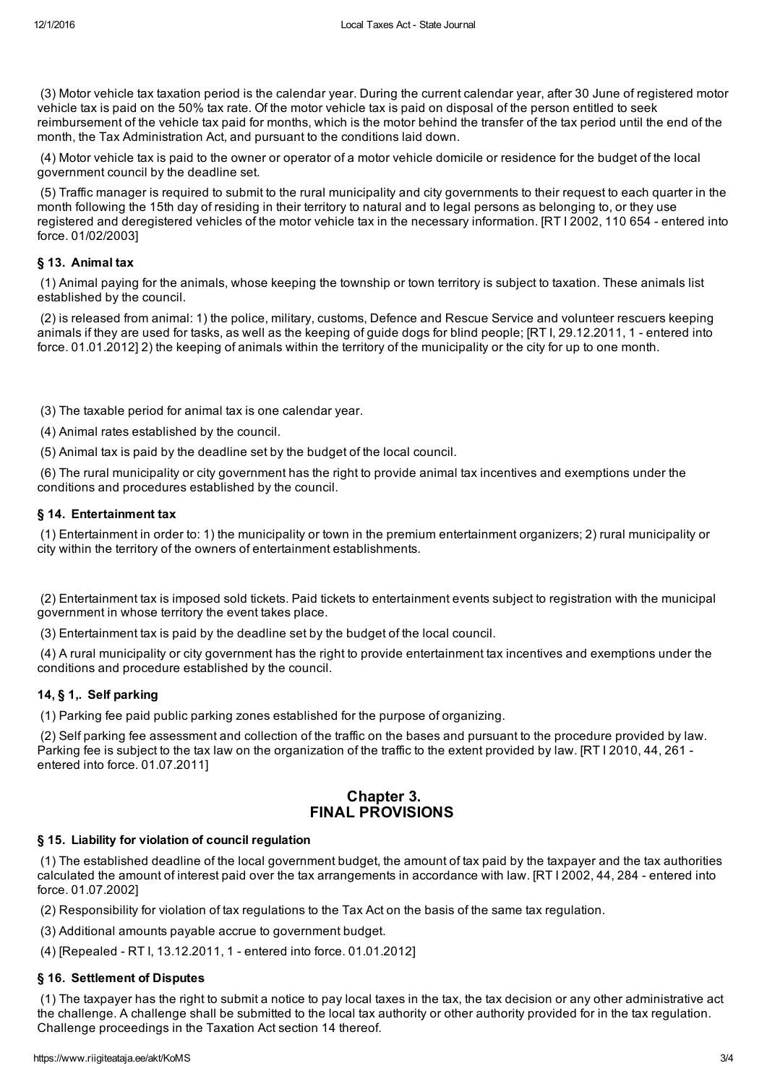(3) Motor vehicle tax taxation period is the calendar year. During the current calendar year, after 30 June of registered motor vehicle tax is paid on the 50% tax rate. Of the motor vehicle tax is paid on disposal of the person entitled to seek reimbursement of the vehicle tax paid for months, which is the motor behind the transfer of the tax period until the end of the month, the Tax Administration Act, and pursuant to the conditions laid down.

(4) Motor vehicle tax is paid to the owner or operator of a motor vehicle domicile or residence for the budget of the local government council by the deadline set.

(5) Traffic manager is required to submit to the rural municipality and city governments to their request to each quarter in the month following the 15th day of residing in their territory to natural and to legal persons as belonging to, or they use registered and deregistered vehicles of the motor vehicle tax in the necessary information. [RT I 2002, 110 654 - entered into force. 01/02/2003]

## § 13. Animal tax

(1) Animal paying for the animals, whose keeping the township or town territory is subject to taxation. These animals list established by the council.

(2) is released from animal: 1) the police, military, customs, Defence and Rescue Service and volunteer rescuers keeping animals if they are used for tasks, as well as the keeping of guide dogs for blind people; [RT I, 29.12.2011, 1 entered into force. 01.01.2012] 2) the keeping of animals within the territory of the municipality or the city for up to one month.

(3) The taxable period for animal tax is one calendar year.

(4) Animal rates established by the council.

(5) Animal tax is paid by the deadline set by the budget of the local council.

(6) The rural municipality or city government has the right to provide animal tax incentives and exemptions under the conditions and procedures established by the council.

#### § 14. Entertainment tax

(1) Entertainment in order to: 1) the municipality or town in the premium entertainment organizers; 2) rural municipality or city within the territory of the owners of entertainment establishments.

(2) Entertainment tax is imposed sold tickets. Paid tickets to entertainment events subject to registration with the municipal government in whose territory the event takes place.

(3) Entertainment tax is paid by the deadline set by the budget of the local council.

(4) A rural municipality or city government has the right to provide entertainment tax incentives and exemptions under the conditions and procedure established by the council.

## 14, § 1,. Self parking

(1) Parking fee paid public parking zones established for the purpose of organizing.

(2) Self parking fee assessment and collection of the traffic on the bases and pursuant to the procedure provided by law. Parking fee is subject to the tax law on the organization of the traffic to the extent provided by law. [RT I 2010, 44, 261 entered into force. 01.07.2011]

## Chapter 3. FINAL PROVISIONS

## § 15. Liability for violation of council regulation

(1) The established deadline of the local government budget, the amount of tax paid by the taxpayer and the tax authorities calculated the amount of interest paid over the tax arrangements in accordance with law. [RT I 2002, 44, 284 - entered into force. 01.07.2002]

(2) Responsibility for violation of tax regulations to the Tax Act on the basis of the same tax regulation.

(3) Additional amounts payable accrue to government budget.

(4) [Repealed - RT I, [13.12.2011,](https://www.riigiteataja.ee/akt/113122011001) 1 - entered into force. 01.01.2012]

## § 16. Settlement of Disputes

(1) The taxpayer has the right to submit a notice to pay local taxes in the tax, the tax decision or any other administrative act the challenge. A challenge shall be submitted to the local tax authority or other authority provided for in the tax regulation. Challenge proceedings in the Taxation Act section 14 thereof.